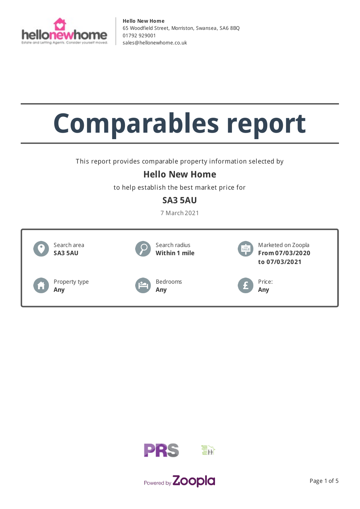

# **Comparables report**

This report provides comparable property information selected by

## **Hello New Home**

to help establish the best market price for

## **SA3 5AU**

7 March 2021





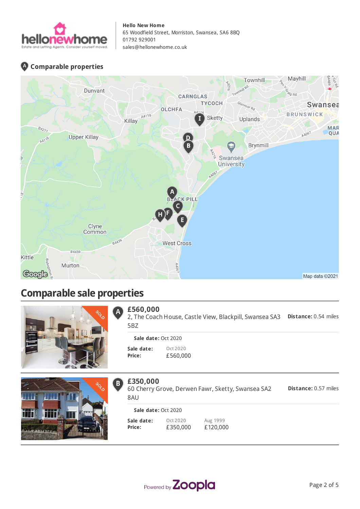

### **Comparable properties**



## **Comparable sale properties**



#### **£560,000**  $\overline{\mathsf{A}}$

**Distance:** 0.54 miles 2, The Coach House, Castle View, Blackpill, Swansea SA3 5BZ

#### **Sale date:** Oct 2020

**Sale date: Price:** Oct 2020 £560,000



#### **£350,000**  $B)$

**Distance:** 0.57 miles 60 Cherry Grove, Derwen Fawr, Sketty, Swansea SA2 8AU

| Sale date: Oct 2020 |          |          |  |  |  |  |
|---------------------|----------|----------|--|--|--|--|
| Sale date:          | Ort 2020 | Aug 1999 |  |  |  |  |
| Price:              | £350,000 | £120,000 |  |  |  |  |

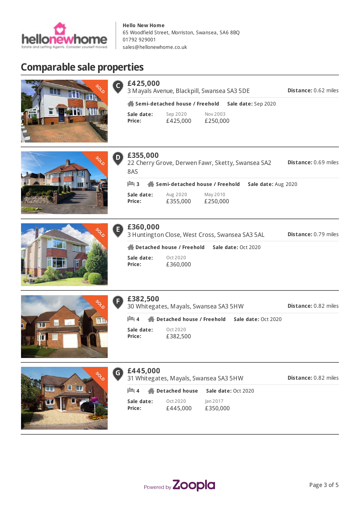

## **Comparable sale properties**









|  |  | <b>POS</b> |
|--|--|------------|
|  |  |            |
|  |  |            |
|  |  |            |

|  | <b>SSP</b> | O |
|--|------------|---|
|  |            |   |
|  |            |   |
|  |            |   |

| £360,000     |
|--------------|
| 3 Huntington |

**Sale date: Price:**

8AS

**£355,000**

3 Huntington Close, West Cross, Swansea SA3 5AL

22 Cherry Grove, Derwen Fawr, Sketty, Swansea SA2

May 2010 £250,000

**3 Semi-detached house / Freehold Sale date:** Aug 2020

**Distance:** 0.79 miles

**Distance:** 0.69 miles

**Sale date: Price:** Oct 2020 £360,000 **Detached house / Freehold Sale date:** Oct 2020

Aug 2020 £355,000



|  |  | £382,500 |  |
|--|--|----------|--|
|  |  |          |  |

30 Whitegates, Mayals, Swansea SA3 5HW

**Distance:** 0.82 miles

**Distance:** 0.82 miles

**Sale date: Price:** Oct 2020 £382,500 **4 Detached house / Freehold Sale date:** Oct 2020



| £445,000 |  |
|----------|--|
|          |  |

 $\left| \mathbf{G} \right|$ 

31 Whitegates, Mayals, Swansea SA3 5HW **4 Detached house Sale date:** Oct 2020

| Sale date: | Oct 2020 | lan 2017 |
|------------|----------|----------|
| Price:     | £445,000 | £350,000 |

Powered by Zoopla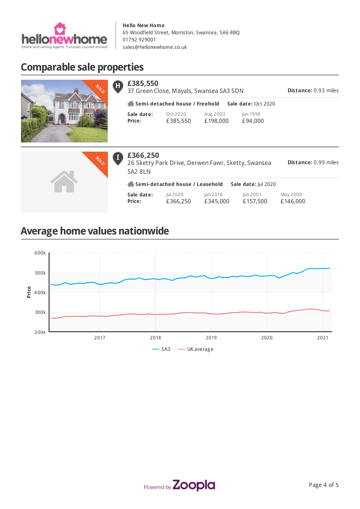

## **Comparable sale properties**



| H | £385,550<br>37 Green Close, Mayals, Swansea SA3 5DN | <b>Distance: 0.93 miles</b> |                      |                     |  |
|---|-----------------------------------------------------|-----------------------------|----------------------|---------------------|--|
|   | Semi-detached house / Freehold                      |                             |                      |                     |  |
|   | Sale date:<br>Price:                                | Oct 2020<br>£385,550        | Aug 2003<br>£198,000 | Jun 1998<br>£94,000 |  |



| £366,250<br>26 Sketty Park Drive, Derwen Fawr, Sketty, Swansea<br>SA <sub>2</sub> 8LN | <b>Distance: 0.99 miles</b> |                      |                      |                      |  |  |  |
|---------------------------------------------------------------------------------------|-----------------------------|----------------------|----------------------|----------------------|--|--|--|
| Semi-detached house / Leasehold<br>Sale date: Jul 2020                                |                             |                      |                      |                      |  |  |  |
| Sale date:<br>Price:                                                                  | Jul 2020<br>£366,250        | Jan 2016<br>£345,000 | Jun 2001<br>£157,500 | May 2000<br>£146,000 |  |  |  |

# **Average home values nationwide**